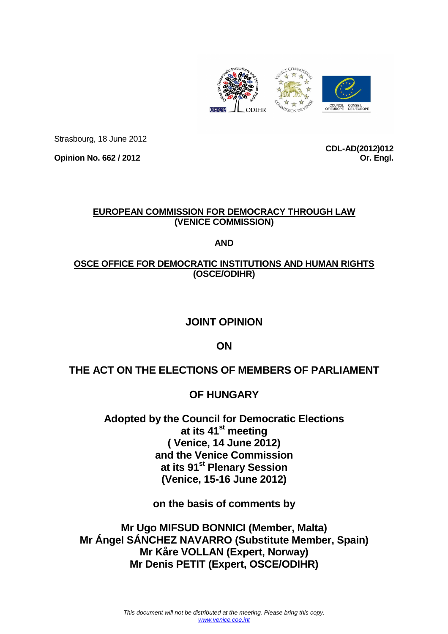

Strasbourg, 18 June 2012

**Opinion No. 662 / 2012** 

**CDL-AD(2012)012 Or. Engl.**

# **EUROPEAN COMMISSION FOR DEMOCRACY THROUGH LAW (VENICE COMMISSION)**

**AND** 

# **OSCE OFFICE FOR DEMOCRATIC INSTITUTIONS AND HUMAN RIGHTS (OSCE/ODIHR)**

# **JOINT OPINION**

**ON** 

**THE ACT ON THE ELECTIONS OF MEMBERS OF PARLIAMENT** 

# **OF HUNGARY**

**Adopted by the Council for Democratic Elections at its 41st meeting ( Venice, 14 June 2012) and the Venice Commission at its 91st Plenary Session (Venice, 15-16 June 2012)** 

**on the basis of comments by** 

**Mr Ugo MIFSUD BONNICI (Member, Malta) Mr Ángel SÁNCHEZ NAVARRO (Substitute Member, Spain) Mr Kåre VOLLAN (Expert, Norway) Mr Denis PETIT (Expert, OSCE/ODIHR)**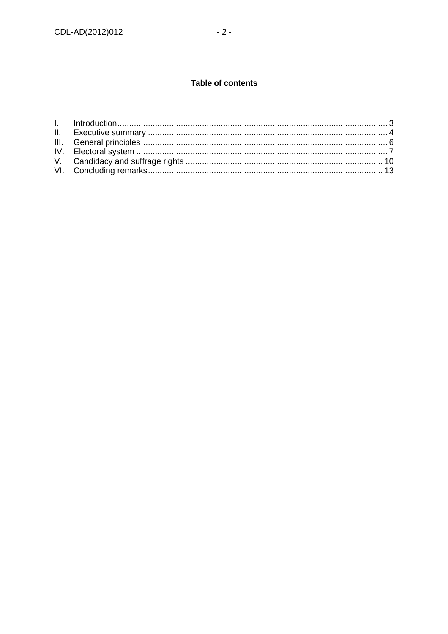# Table of contents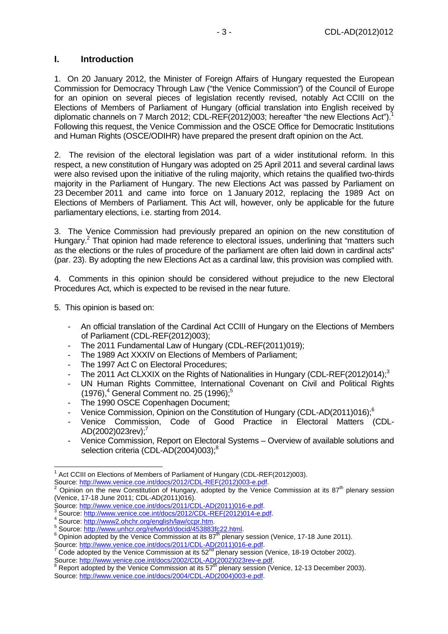## **I. Introduction**

1. On 20 January 2012, the Minister of Foreign Affairs of Hungary requested the European Commission for Democracy Through Law ("the Venice Commission") of the Council of Europe for an opinion on several pieces of legislation recently revised, notably Act CCIII on the Elections of Members of Parliament of Hungary (official translation into English received by diplomatic channels on 7 March 2012; CDL-REF(2012)003; hereafter "the new Elections Act"). Following this request, the Venice Commission and the OSCE Office for Democratic Institutions and Human Rights (OSCE/ODIHR) have prepared the present draft opinion on the Act.

2. The revision of the electoral legislation was part of a wider institutional reform. In this respect, a new constitution of Hungary was adopted on 25 April 2011 and several cardinal laws were also revised upon the initiative of the ruling majority, which retains the qualified two-thirds majority in the Parliament of Hungary. The new Elections Act was passed by Parliament on 23 December 2011 and came into force on 1 January 2012, replacing the 1989 Act on Elections of Members of Parliament. This Act will, however, only be applicable for the future parliamentary elections, i.e. starting from 2014.

3. The Venice Commission had previously prepared an opinion on the new constitution of Hungary.<sup>2</sup> That opinion had made reference to electoral issues, underlining that "matters such as the elections or the rules of procedure of the parliament are often laid down in cardinal acts" (par. 23). By adopting the new Elections Act as a cardinal law, this provision was complied with.

4. Comments in this opinion should be considered without prejudice to the new Electoral Procedures Act, which is expected to be revised in the near future.

5. This opinion is based on:

- An official translation of the Cardinal Act CCIII of Hungary on the Elections of Members of Parliament (CDL-REF(2012)003);
- The 2011 Fundamental Law of Hungary (CDL-REF(2011)019);
- The 1989 Act XXXIV on Elections of Members of Parliament:
- The 1997 Act C on Electoral Procedures;
- The 2011 Act CLXXIX on the Rights of Nationalities in Hungary (CDL-REF(2012)014); $^3$
- UN Human Rights Committee, International Covenant on Civil and Political Rights (1976),<sup>4</sup> General Comment no. 25 (1996);<sup>5</sup>
- The 1990 OSCE Copenhagen Document;
- Venice Commission, Opinion on the Constitution of Hungary (CDL-AD(2011)016);<sup>6</sup>
- Venice Commission, Code of Good Practice in Electoral Matters (CDL-AD(2002)023rev);<sup>7</sup>
- Venice Commission, Report on Electoral Systems Overview of available solutions and selection criteria (CDL-AD(2004)003);<sup>8</sup>

 $\overline{a}$ <sup>1</sup> Act CCIII on Elections of Members of Parliament of Hungary (CDL-REF(2012)003). Source: http://www.venice.coe.int/docs/2012/CDL-REF(2012)003-e.pdf.<br><sup>2</sup> Opinion on the new Constitution of Hungary, adopted by the Venice

Opinion on the new Constitution of Hungary, adopted by the Venice Commission at its  $87<sup>th</sup>$  plenary session (Venice, 17-18 June 2011; CDL-AD(2011)016).

Source: http://www.venice.coe.int/docs/2011/CDL-AD(2011)016-e.pdf.<br><sup>3</sup> Source: http://www.venice.coe.int/docs/2012/CDLBEE/2012)014.c.p

Source: http://www.venice.coe.int/docs/2012/CDL-REF(2012)014-e.pdf.

<sup>4</sup> Source: http://www2.ohchr.org/english/law/ccpr.htm.<br>Source: http://www.unhcr.org/refworld/docid/453883fc22.html.

<sup>&</sup>lt;sup>5</sup> Source: http://www.unhcr.org/refworld/docid/453883fc22.html.<br><sup>6</sup> Opinion adopted by the Venice Commission at its 87<sup>th</sup> plenary session (Venice, 17-18 June 2011).

Source: http://www.venice.coe.int/docs/2011/CDL-AD(2011)016-e.pdf.<br><sup>7</sup> Cade adopted by the Venice Commission at its 52<sup>nd</sup> planery assaisn (

Code adopted by the Venice Commission at its 52<sup>nd</sup> plenary session (Venice, 18-19 October 2002). Source: http://www.venice.coe.int/docs/2002/CDL-AD(2002)023rev-e.pdf.<br><sup>8</sup> Benert edented by the Venice Commission at its 57<sup>th</sup> planery essaien (V

Report adopted by the Venice Commission at its 57<sup>th</sup> plenary session (Venice, 12-13 December 2003).

Source: http://www.venice.coe.int/docs/2004/CDL-AD(2004)003-e.pdf.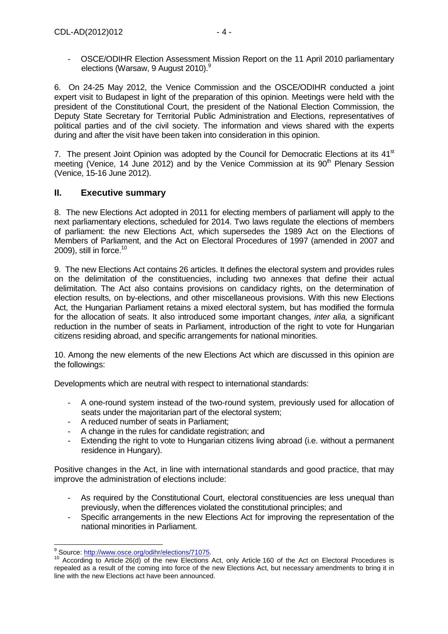- OSCE/ODIHR Election Assessment Mission Report on the 11 April 2010 parliamentary elections (Warsaw, 9 August 2010).<sup>9</sup>

6. On 24-25 May 2012, the Venice Commission and the OSCE/ODIHR conducted a joint expert visit to Budapest in light of the preparation of this opinion. Meetings were held with the president of the Constitutional Court, the president of the National Election Commission, the Deputy State Secretary for Territorial Public Administration and Elections, representatives of political parties and of the civil society. The information and views shared with the experts during and after the visit have been taken into consideration in this opinion.

7. The present Joint Opinion was adopted by the Council for Democratic Elections at its 41<sup>st</sup> meeting (Venice, 14 June 2012) and by the Venice Commission at its  $90<sup>th</sup>$  Plenary Session (Venice, 15-16 June 2012).

# **II. Executive summary**

8. The new Elections Act adopted in 2011 for electing members of parliament will apply to the next parliamentary elections, scheduled for 2014. Two laws regulate the elections of members of parliament: the new Elections Act, which supersedes the 1989 Act on the Elections of Members of Parliament, and the Act on Electoral Procedures of 1997 (amended in 2007 and 2009), still in force.<sup>10</sup>

9. The new Elections Act contains 26 articles. It defines the electoral system and provides rules on the delimitation of the constituencies, including two annexes that define their actual delimitation. The Act also contains provisions on candidacy rights, on the determination of election results, on by-elections, and other miscellaneous provisions. With this new Elections Act, the Hungarian Parliament retains a mixed electoral system, but has modified the formula for the allocation of seats. It also introduced some important changes, *inter alia*, a significant reduction in the number of seats in Parliament, introduction of the right to vote for Hungarian citizens residing abroad, and specific arrangements for national minorities.

10. Among the new elements of the new Elections Act which are discussed in this opinion are the followings:

Developments which are neutral with respect to international standards:

- A one-round system instead of the two-round system, previously used for allocation of seats under the majoritarian part of the electoral system;
- A reduced number of seats in Parliament;
- A change in the rules for candidate registration; and
- Extending the right to vote to Hungarian citizens living abroad (i.e. without a permanent residence in Hungary).

Positive changes in the Act, in line with international standards and good practice, that may improve the administration of elections include:

- As required by the Constitutional Court, electoral constituencies are less unequal than previously, when the differences violated the constitutional principles; and
- Specific arrangements in the new Elections Act for improving the representation of the national minorities in Parliament.

<sup>&</sup>lt;sup>9</sup><br>Source: <u>http://www.osce.org/odihr/elections/71075</u>

<sup>10</sup> According to Article 26(d) of the new Elections Act, only Article 160 of the Act on Electoral Procedures is repealed as a result of the coming into force of the new Elections Act, but necessary amendments to bring it in line with the new Elections act have been announced.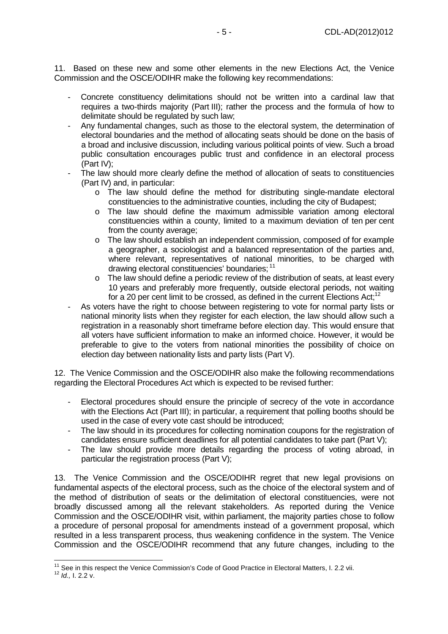11. Based on these new and some other elements in the new Elections Act, the Venice Commission and the OSCE/ODIHR make the following key recommendations:

- Concrete constituency delimitations should not be written into a cardinal law that requires a two-thirds majority (Part III); rather the process and the formula of how to delimitate should be regulated by such law;
- Any fundamental changes, such as those to the electoral system, the determination of electoral boundaries and the method of allocating seats should be done on the basis of a broad and inclusive discussion, including various political points of view. Such a broad public consultation encourages public trust and confidence in an electoral process (Part IV);
- The law should more clearly define the method of allocation of seats to constituencies (Part IV) and, in particular:
	- o The law should define the method for distributing single-mandate electoral constituencies to the administrative counties, including the city of Budapest;
	- o The law should define the maximum admissible variation among electoral constituencies within a county, limited to a maximum deviation of ten per cent from the county average;
	- o The law should establish an independent commission, composed of for example a geographer, a sociologist and a balanced representation of the parties and, where relevant, representatives of national minorities, to be charged with drawing electoral constituencies' boundaries: 11
	- o The law should define a periodic review of the distribution of seats, at least every 10 years and preferably more frequently, outside electoral periods, not waiting for a 20 per cent limit to be crossed, as defined in the current Elections Act;<sup>12</sup>
- As voters have the right to choose between registering to vote for normal party lists or national minority lists when they register for each election, the law should allow such a registration in a reasonably short timeframe before election day. This would ensure that all voters have sufficient information to make an informed choice. However, it would be preferable to give to the voters from national minorities the possibility of choice on election day between nationality lists and party lists (Part V).

12. The Venice Commission and the OSCE/ODIHR also make the following recommendations regarding the Electoral Procedures Act which is expected to be revised further:

- Electoral procedures should ensure the principle of secrecy of the vote in accordance with the Elections Act (Part III); in particular, a requirement that polling booths should be used in the case of every vote cast should be introduced;
- The law should in its procedures for collecting nomination coupons for the registration of candidates ensure sufficient deadlines for all potential candidates to take part (Part V);
- The law should provide more details regarding the process of voting abroad, in particular the registration process (Part V);

13. The Venice Commission and the OSCE/ODIHR regret that new legal provisions on fundamental aspects of the electoral process, such as the choice of the electoral system and of the method of distribution of seats or the delimitation of electoral constituencies, were not broadly discussed among all the relevant stakeholders. As reported during the Venice Commission and the OSCE/ODIHR visit, within parliament, the majority parties chose to follow a procedure of personal proposal for amendments instead of a government proposal, which resulted in a less transparent process, thus weakening confidence in the system. The Venice Commission and the OSCE/ODIHR recommend that any future changes, including to the

  $11$  See in this respect the Venice Commission's Code of Good Practice in Electoral Matters, I. 2.2 vii.

 $12$  *Id., I.* 2.2 v.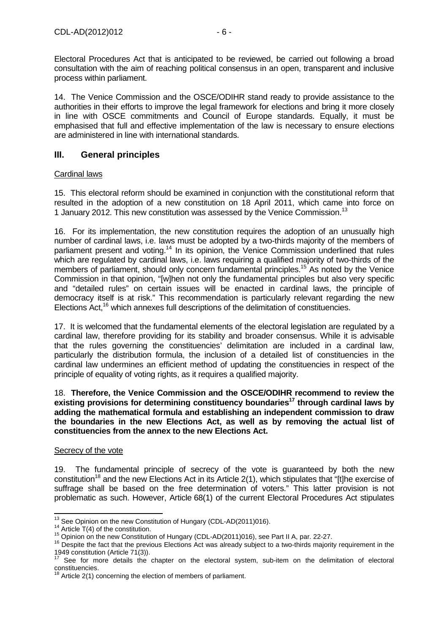Electoral Procedures Act that is anticipated to be reviewed, be carried out following a broad consultation with the aim of reaching political consensus in an open, transparent and inclusive process within parliament.

14. The Venice Commission and the OSCE/ODIHR stand ready to provide assistance to the authorities in their efforts to improve the legal framework for elections and bring it more closely in line with OSCE commitments and Council of Europe standards. Equally, it must be emphasised that full and effective implementation of the law is necessary to ensure elections are administered in line with international standards.

# **III. General principles**

## Cardinal laws

15. This electoral reform should be examined in conjunction with the constitutional reform that resulted in the adoption of a new constitution on 18 April 2011, which came into force on 1 January 2012. This new constitution was assessed by the Venice Commission.<sup>13</sup>

16. For its implementation, the new constitution requires the adoption of an unusually high number of cardinal laws, i.e. laws must be adopted by a two-thirds majority of the members of parliament present and voting.<sup>14</sup> In its opinion, the Venice Commission underlined that rules which are regulated by cardinal laws, i.e. laws requiring a qualified majority of two-thirds of the members of parliament, should only concern fundamental principles.<sup>15</sup> As noted by the Venice Commission in that opinion, "[w]hen not only the fundamental principles but also very specific and "detailed rules" on certain issues will be enacted in cardinal laws, the principle of democracy itself is at risk." This recommendation is particularly relevant regarding the new Elections Act,<sup>16</sup> which annexes full descriptions of the delimitation of constituencies.

17. It is welcomed that the fundamental elements of the electoral legislation are regulated by a cardinal law, therefore providing for its stability and broader consensus. While it is advisable that the rules governing the constituencies' delimitation are included in a cardinal law, particularly the distribution formula, the inclusion of a detailed list of constituencies in the cardinal law undermines an efficient method of updating the constituencies in respect of the principle of equality of voting rights, as it requires a qualified majority.

18. **Therefore, the Venice Commission and the OSCE/ODIHR recommend to review the existing provisions for determining constituency boundaries<sup>17</sup> through cardinal laws by adding the mathematical formula and establishing an independent commission to draw the boundaries in the new Elections Act, as well as by removing the actual list of constituencies from the annex to the new Elections Act.**

### Secrecy of the vote

19. The fundamental principle of secrecy of the vote is guaranteed by both the new constitution<sup>18</sup> and the new Elections Act in its Article 2(1), which stipulates that "[t]he exercise of suffrage shall be based on the free determination of voters." This latter provision is not problematic as such. However, Article 68(1) of the current Electoral Procedures Act stipulates

  $13$  See Opinion on the new Constitution of Hungary (CDL-AD(2011)016).

<sup>&</sup>lt;sup>14</sup> Article  $T(4)$  of the constitution.

<sup>15</sup> Opinion on the new Constitution of Hungary (CDL-AD(2011)016), see Part II A, par. 22-27.

<sup>&</sup>lt;sup>16</sup> Despite the fact that the previous Elections Act was already subject to a two-thirds majority requirement in the 1949 constitution (Article 71(3)).

See for more details the chapter on the electoral system, sub-item on the delimitation of electoral constituencies.

 $\beta$  Article 2(1) concerning the election of members of parliament.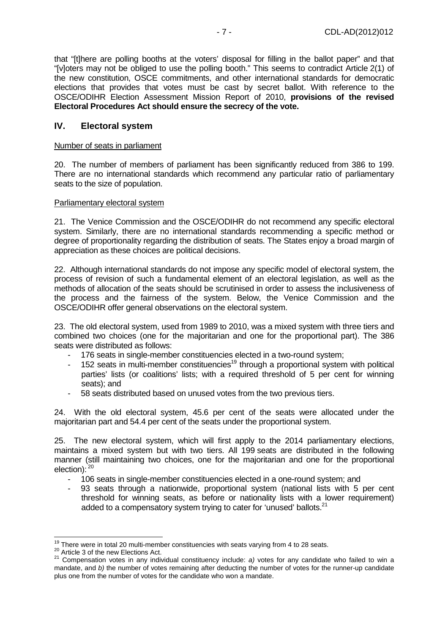that "[t]here are polling booths at the voters' disposal for filling in the ballot paper" and that "[v]oters may not be obliged to use the polling booth." This seems to contradict Article 2(1) of the new constitution, OSCE commitments, and other international standards for democratic elections that provides that votes must be cast by secret ballot. With reference to the OSCE/ODIHR Election Assessment Mission Report of 2010, **provisions of the revised Electoral Procedures Act should ensure the secrecy of the vote.** 

## **IV. Electoral system**

#### Number of seats in parliament

20. The number of members of parliament has been significantly reduced from 386 to 199. There are no international standards which recommend any particular ratio of parliamentary seats to the size of population.

#### Parliamentary electoral system

21. The Venice Commission and the OSCE/ODIHR do not recommend any specific electoral system. Similarly, there are no international standards recommending a specific method or degree of proportionality regarding the distribution of seats. The States enjoy a broad margin of appreciation as these choices are political decisions.

22. Although international standards do not impose any specific model of electoral system, the process of revision of such a fundamental element of an electoral legislation, as well as the methods of allocation of the seats should be scrutinised in order to assess the inclusiveness of the process and the fairness of the system. Below, the Venice Commission and the OSCE/ODIHR offer general observations on the electoral system.

23. The old electoral system, used from 1989 to 2010, was a mixed system with three tiers and combined two choices (one for the majoritarian and one for the proportional part). The 386 seats were distributed as follows:

- 176 seats in single-member constituencies elected in a two-round system;
- 152 seats in multi-member constituencies<sup>19</sup> through a proportional system with political parties' lists (or coalitions' lists; with a required threshold of 5 per cent for winning seats); and
- 58 seats distributed based on unused votes from the two previous tiers.

24. With the old electoral system, 45.6 per cent of the seats were allocated under the majoritarian part and 54.4 per cent of the seats under the proportional system.

25. The new electoral system, which will first apply to the 2014 parliamentary elections, maintains a mixed system but with two tiers. All 199 seats are distributed in the following manner (still maintaining two choices, one for the majoritarian and one for the proportional election): 20

- 106 seats in single-member constituencies elected in a one-round system; and
- 93 seats through a nationwide, proportional system (national lists with 5 per cent threshold for winning seats, as before or nationality lists with a lower requirement) added to a compensatory system trying to cater for 'unused' ballots.<sup>21</sup>

  $19$  There were in total 20 multi-member constituencies with seats varying from 4 to 28 seats.

<sup>20</sup> Article 3 of the new Elections Act.

<sup>&</sup>lt;sup>21</sup> Compensation votes in any individual constituency include: a) votes for any candidate who failed to win a mandate, and b) the number of votes remaining after deducting the number of votes for the runner-up candidate plus one from the number of votes for the candidate who won a mandate.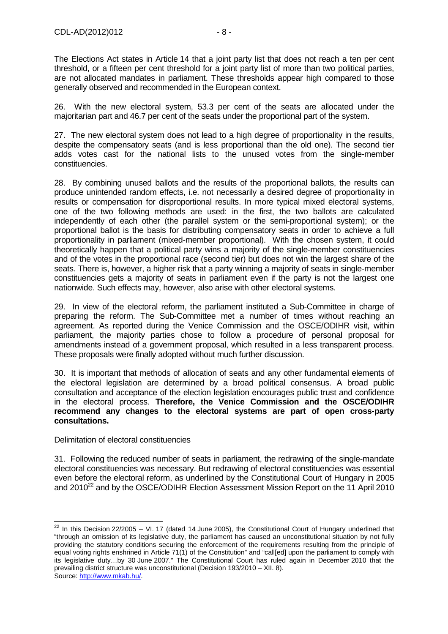The Elections Act states in Article 14 that a joint party list that does not reach a ten per cent threshold, or a fifteen per cent threshold for a joint party list of more than two political parties, are not allocated mandates in parliament. These thresholds appear high compared to those generally observed and recommended in the European context.

26. With the new electoral system, 53.3 per cent of the seats are allocated under the majoritarian part and 46.7 per cent of the seats under the proportional part of the system.

27. The new electoral system does not lead to a high degree of proportionality in the results, despite the compensatory seats (and is less proportional than the old one). The second tier adds votes cast for the national lists to the unused votes from the single-member constituencies.

28. By combining unused ballots and the results of the proportional ballots, the results can produce unintended random effects, i.e. not necessarily a desired degree of proportionality in results or compensation for disproportional results. In more typical mixed electoral systems, one of the two following methods are used: in the first, the two ballots are calculated independently of each other (the parallel system or the semi-proportional system); or the proportional ballot is the basis for distributing compensatory seats in order to achieve a full proportionality in parliament (mixed-member proportional). With the chosen system, it could theoretically happen that a political party wins a majority of the single-member constituencies and of the votes in the proportional race (second tier) but does not win the largest share of the seats. There is, however, a higher risk that a party winning a majority of seats in single-member constituencies gets a majority of seats in parliament even if the party is not the largest one nationwide. Such effects may, however, also arise with other electoral systems.

29. In view of the electoral reform, the parliament instituted a Sub-Committee in charge of preparing the reform. The Sub-Committee met a number of times without reaching an agreement. As reported during the Venice Commission and the OSCE/ODIHR visit, within parliament, the majority parties chose to follow a procedure of personal proposal for amendments instead of a government proposal, which resulted in a less transparent process. These proposals were finally adopted without much further discussion.

30. It is important that methods of allocation of seats and any other fundamental elements of the electoral legislation are determined by a broad political consensus. A broad public consultation and acceptance of the election legislation encourages public trust and confidence in the electoral process. **Therefore, the Venice Commission and the OSCE/ODIHR recommend any changes to the electoral systems are part of open cross-party consultations.**

### Delimitation of electoral constituencies

31. Following the reduced number of seats in parliament, the redrawing of the single-mandate electoral constituencies was necessary. But redrawing of electoral constituencies was essential even before the electoral reform, as underlined by the Constitutional Court of Hungary in 2005 and 2010<sup>22</sup> and by the OSCE/ODIHR Election Assessment Mission Report on the 11 April 2010

  $^{22}$  In this Decision 22/2005 – VI. 17 (dated 14 June 2005), the Constitutional Court of Hungary underlined that "through an omission of its legislative duty, the parliament has caused an unconstitutional situation by not fully providing the statutory conditions securing the enforcement of the requirements resulting from the principle of equal voting rights enshrined in Article 71(1) of the Constitution" and "call[ed] upon the parliament to comply with its legislative duty…by 30 June 2007." The Constitutional Court has ruled again in December 2010 that the prevailing district structure was unconstitutional (Decision 193/2010 – XII. 8). Source: http://www.mkab.hu/.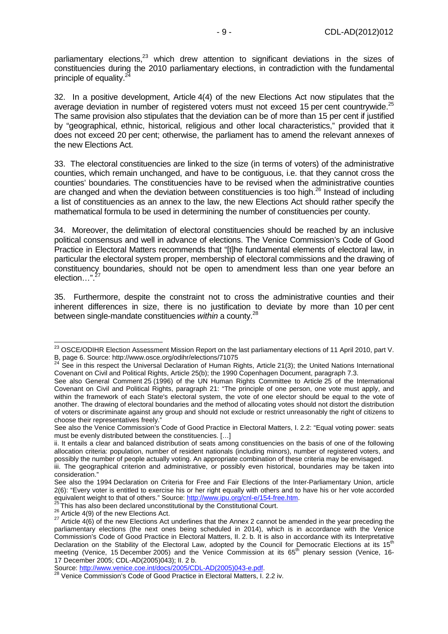parliamentary elections, $^{23}$  which drew attention to significant deviations in the sizes of constituencies during the 2010 parliamentary elections, in contradiction with the fundamental principle of equality.<sup>24</sup>

32. In a positive development, Article 4(4) of the new Elections Act now stipulates that the average deviation in number of registered voters must not exceed 15 per cent countrywide.<sup>25</sup> The same provision also stipulates that the deviation can be of more than 15 per cent if justified by "geographical, ethnic, historical, religious and other local characteristics," provided that it does not exceed 20 per cent; otherwise, the parliament has to amend the relevant annexes of the new Elections Act.

33. The electoral constituencies are linked to the size (in terms of voters) of the administrative counties, which remain unchanged, and have to be contiguous, i.e. that they cannot cross the counties' boundaries. The constituencies have to be revised when the administrative counties are changed and when the deviation between constituencies is too high. $^{26}$  Instead of including a list of constituencies as an annex to the law, the new Elections Act should rather specify the mathematical formula to be used in determining the number of constituencies per county.

34. Moreover, the delimitation of electoral constituencies should be reached by an inclusive political consensus and well in advance of elections. The Venice Commission's Code of Good Practice in Electoral Matters recommends that "[t]he fundamental elements of electoral law, in particular the electoral system proper, membership of electoral commissions and the drawing of constituency boundaries, should not be open to amendment less than one year before an election…".<sup>2</sup>

35. Furthermore, despite the constraint not to cross the administrative counties and their inherent differences in size, there is no justification to deviate by more than 10 per cent between single-mandate constituencies within a county.<sup>28</sup>

Source: http://www.venice.coe.int/docs/2005/CDL-AD(2005)043-e.pdf.

  $^{23}$  OSCE/ODIHR Election Assessment Mission Report on the last parliamentary elections of 11 April 2010, part V. B, page 6. Source: http://www.osce.org/odihr/elections/71075

See in this respect the Universal Declaration of Human Rights, Article 21(3); the United Nations International Covenant on Civil and Political Rights, Article 25(b); the 1990 Copenhagen Document, paragraph 7.3.

See also General Comment 25 (1996) of the UN Human Rights Committee to Article 25 of the International Covenant on Civil and Political Rights, paragraph 21: "The principle of one person, one vote must apply, and within the framework of each State's electoral system, the vote of one elector should be equal to the vote of another. The drawing of electoral boundaries and the method of allocating votes should not distort the distribution of voters or discriminate against any group and should not exclude or restrict unreasonably the right of citizens to choose their representatives freely."

See also the Venice Commission's Code of Good Practice in Electoral Matters, I. 2.2: "Equal voting power: seats must be evenly distributed between the constituencies. […]

ii. It entails a clear and balanced distribution of seats among constituencies on the basis of one of the following allocation criteria: population, number of resident nationals (including minors), number of registered voters, and possibly the number of people actually voting. An appropriate combination of these criteria may be envisaged.

iii. The geographical criterion and administrative, or possibly even historical, boundaries may be taken into consideration."

See also the 1994 Declaration on Criteria for Free and Fair Elections of the Inter-Parliamentary Union, article 2(6): "Every voter is entitled to exercise his or her right equally with others and to have his or her vote accorded equivalent weight to that of others." Source: http://www.ipu.org/cnl-e/154-free.htm.

 $25$  This has also been declared unconstitutional by the Constitutional Court.

 $26$  Article 4(9) of the new Elections Act.

 $27$  Article 4(6) of the new Elections Act underlines that the Annex 2 cannot be amended in the year preceding the parliamentary elections (the next ones being scheduled in 2014), which is in accordance with the Venice Commission's Code of Good Practice in Electoral Matters, II. 2. b. It is also in accordance with its Interpretative Declaration on the Stability of the Electoral Law, adopted by the Council for Democratic Elections at its 15<sup>th</sup> meeting (Venice, 15 December 2005) and the Venice Commission at its 65<sup>th</sup> plenary session (Venice, 16-17 December 2005; CDL-AD(2005)043); II. 2 b.

<sup>&</sup>lt;sup>28</sup> Venice Commission's Code of Good Practice in Electoral Matters, I. 2.2 iv.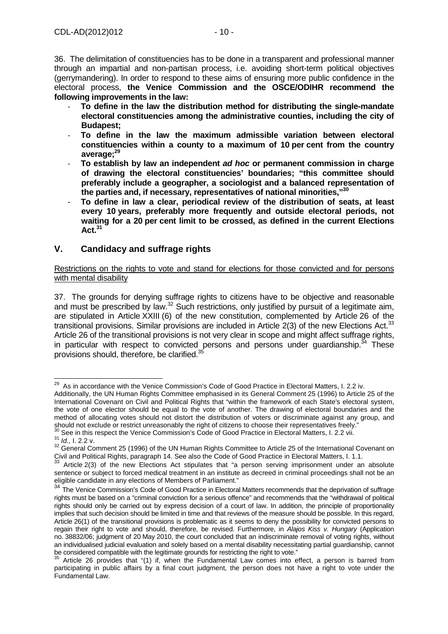36. The delimitation of constituencies has to be done in a transparent and professional manner through an impartial and non-partisan process, i.e. avoiding short-term political objectives (gerrymandering). In order to respond to these aims of ensuring more public confidence in the electoral process, **the Venice Commission and the OSCE/ODIHR recommend the following improvements in the law:** 

- **To define in the law the distribution method for distributing the single-mandate electoral constituencies among the administrative counties, including the city of Budapest;**
- **To define in the law the maximum admissible variation between electoral constituencies within a county to a maximum of 10 per cent from the country average;<sup>29</sup>**
- **To establish by law an independent ad hoc or permanent commission in charge of drawing the electoral constituencies' boundaries; "this committee should preferably include a geographer, a sociologist and a balanced representation of the parties and, if necessary, representatives of national minorities,"<sup>30</sup>**
- **To define in law a clear, periodical review of the distribution of seats, at least every 10 years, preferably more frequently and outside electoral periods, not waiting for a 20 per cent limit to be crossed, as defined in the current Elections Act.<sup>31</sup>**

# **V. Candidacy and suffrage rights**

Restrictions on the rights to vote and stand for elections for those convicted and for persons with mental disability

37. The grounds for denying suffrage rights to citizens have to be objective and reasonable and must be prescribed by law.<sup>32</sup> Such restrictions, only justified by pursuit of a legitimate aim, are stipulated in Article XXIII (6) of the new constitution, complemented by Article 26 of the transitional provisions. Similar provisions are included in Article  $2(3)$  of the new Elections Act.<sup>33</sup> Article 26 of the transitional provisions is not very clear in scope and might affect suffrage rights, in particular with respect to convicted persons and persons under guardianship. $34$  These provisions should, therefore, be clarified.<sup>35</sup>

  $^{29}$  As in accordance with the Venice Commission's Code of Good Practice in Electoral Matters, I. 2.2 iv.

Additionally, the UN Human Rights Committee emphasised in its General Comment 25 (1996) to Article 25 of the International Covenant on Civil and Political Rights that "within the framework of each State's electoral system, the vote of one elector should be equal to the vote of another. The drawing of electoral boundaries and the method of allocating votes should not distort the distribution of voters or discriminate against any group, and should not exclude or restrict unreasonably the right of citizens to choose their representatives freely." 30 See in this respect the Venice Commission's Code of Good Practice in Electoral Matters, I. 2.2 vii.

 $31$  *Id., I.* 2.2 v.

<sup>&</sup>lt;sup>32</sup> General Comment 25 (1996) of the UN Human Rights Committee to Article 25 of the International Covenant on Civil and Political Rights, paragraph 14. See also the Code of Good Practice in Electoral Matters, I. 1.1.

 $33$  Article 2(3) of the new Elections Act stipulates that "a person serving imprisonment under an absolute sentence or subject to forced medical treatment in an institute as decreed in criminal proceedings shall not be an eligible candidate in any elections of Members of Parliament."

<sup>&</sup>lt;sup>34</sup> The Venice Commission's Code of Good Practice in Electoral Matters recommends that the deprivation of suffrage rights must be based on a "criminal conviction for a serious offence" and recommends that the "withdrawal of political rights should only be carried out by express decision of a court of law. In addition, the principle of proportionality implies that such decision should be limited in time and that reviews of the measure should be possible. In this regard, Article 26(1) of the transitional provisions is problematic as it seems to deny the possibility for convicted persons to regain their right to vote and should, therefore, be revised. Furthermore, in Alajos Kiss v. Hungary (Application no. 38832/06; judgment of 20 May 2010, the court concluded that an indiscriminate removal of voting rights, without an individualised judicial evaluation and solely based on a mental disability necessitating partial guardianship, cannot be considered compatible with the legitimate grounds for restricting the right to vote."<br><sup>35</sup> Article 26 provided that "(4) if untain the grounds for restricting the right to vote."

Article 26 provides that "(1) if, when the Fundamental Law comes into effect, a person is barred from participating in public affairs by a final court judgment, the person does not have a right to vote under the Fundamental Law.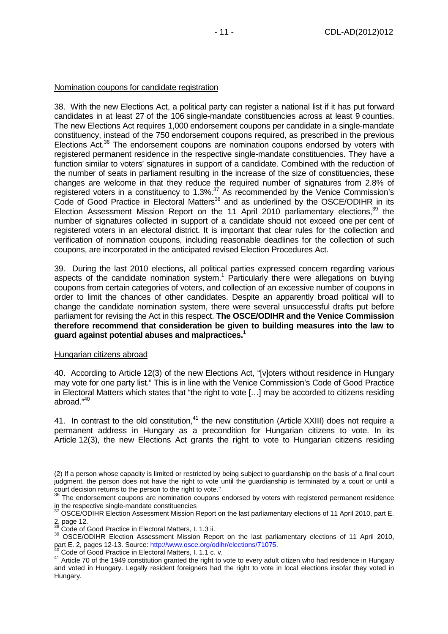# Nomination coupons for candidate registration

38. With the new Elections Act, a political party can register a national list if it has put forward candidates in at least 27 of the 106 single-mandate constituencies across at least 9 counties. The new Elections Act requires 1,000 endorsement coupons per candidate in a single-mandate constituency, instead of the 750 endorsement coupons required, as prescribed in the previous Elections Act.<sup>36</sup> The endorsement coupons are nomination coupons endorsed by voters with registered permanent residence in the respective single-mandate constituencies. They have a function similar to voters' signatures in support of a candidate. Combined with the reduction of the number of seats in parliament resulting in the increase of the size of constituencies, these changes are welcome in that they reduce the required number of signatures from 2.8% of registered voters in a constituency to 1.3%. $37$  As recommended by the Venice Commission's Code of Good Practice in Electoral Matters<sup>38</sup> and as underlined by the OSCE/ODIHR in its Election Assessment Mission Report on the 11 April 2010 parliamentary elections,  $39$  the number of signatures collected in support of a candidate should not exceed one per cent of registered voters in an electoral district. It is important that clear rules for the collection and verification of nomination coupons, including reasonable deadlines for the collection of such coupons, are incorporated in the anticipated revised Election Procedures Act.

39. During the last 2010 elections, all political parties expressed concern regarding various aspects of the candidate nomination system.<sup>1</sup> Particularly there were allegations on buying coupons from certain categories of voters, and collection of an excessive number of coupons in order to limit the chances of other candidates. Despite an apparently broad political will to change the candidate nomination system, there were several unsuccessful drafts put before parliament for revising the Act in this respect. **The OSCE/ODIHR and the Venice Commission therefore recommend that consideration be given to building measures into the law to guard against potential abuses and malpractices.<sup>1</sup>**

# Hungarian citizens abroad

40. According to Article 12(3) of the new Elections Act, "[v]oters without residence in Hungary may vote for one party list." This is in line with the Venice Commission's Code of Good Practice in Electoral Matters which states that "the right to vote […] may be accorded to citizens residing abroad."<sup>40</sup>

41. In contrast to the old constitution,<sup>41</sup> the new constitution (Article XXIII) does not require a permanent address in Hungary as a precondition for Hungarian citizens to vote. In its Article 12(3), the new Elections Act grants the right to vote to Hungarian citizens residing

 $\overline{a}$ (2) If a person whose capacity is limited or restricted by being subject to guardianship on the basis of a final court judgment, the person does not have the right to vote until the guardianship is terminated by a court or until a court decision returns to the person to the right to vote."

<sup>&</sup>lt;sup>36</sup> The endorsement coupons are nomination coupons endorsed by voters with registered permanent residence in the respective single-mandate constituencies

 $37$  OSCE/ODIHR Election Assessment Mission Report on the last parliamentary elections of 11 April 2010, part E. 2, page 12.

Code of Good Practice in Electoral Matters, I. 1.3 ii.

<sup>39</sup> OSCE/ODIHR Election Assessment Mission Report on the last parliamentary elections of 11 April 2010, part E. 2, pages 12-13. Source: http://www.osce.org/odihr/elections/71075.

<sup>40</sup> Code of Good Practice in Electoral Matters, I. 1.1 c. v.

<sup>41</sup> Article 70 of the 1949 constitution granted the right to vote to every adult citizen who had residence in Hungary and voted in Hungary. Legally resident foreigners had the right to vote in local elections insofar they voted in Hungary.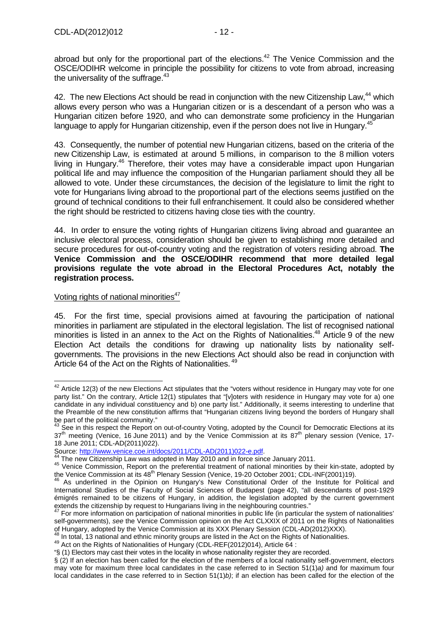abroad but only for the proportional part of the elections.<sup>42</sup> The Venice Commission and the OSCE/ODIHR welcome in principle the possibility for citizens to vote from abroad, increasing the universality of the suffrage. $43$ 

42. The new Elections Act should be read in conjunction with the new Citizenship Law.<sup>44</sup> which allows every person who was a Hungarian citizen or is a descendant of a person who was a Hungarian citizen before 1920, and who can demonstrate some proficiency in the Hungarian language to apply for Hungarian citizenship, even if the person does not live in Hungary.<sup>45</sup>

43. Consequently, the number of potential new Hungarian citizens, based on the criteria of the new Citizenship Law, is estimated at around 5 millions, in comparison to the 8 million voters living in Hungary.<sup>46</sup> Therefore, their votes may have a considerable impact upon Hungarian political life and may influence the composition of the Hungarian parliament should they all be allowed to vote. Under these circumstances, the decision of the legislature to limit the right to vote for Hungarians living abroad to the proportional part of the elections seems justified on the ground of technical conditions to their full enfranchisement. It could also be considered whether the right should be restricted to citizens having close ties with the country.

44. In order to ensure the voting rights of Hungarian citizens living abroad and guarantee an inclusive electoral process, consideration should be given to establishing more detailed and secure procedures for out-of-country voting and the registration of voters residing abroad. **The Venice Commission and the OSCE/ODIHR recommend that more detailed legal provisions regulate the vote abroad in the Electoral Procedures Act, notably the registration process.** 

#### Voting rights of national minorities<sup>47</sup>

45. For the first time, special provisions aimed at favouring the participation of national minorities in parliament are stipulated in the electoral legislation. The list of recognised national minorities is listed in an annex to the Act on the Rights of Nationalities.<sup>48</sup> Article 9 of the new Election Act details the conditions for drawing up nationality lists by nationality selfgovernments. The provisions in the new Elections Act should also be read in conjunction with Article 64 of the Act on the Rights of Nationalities.<sup>49</sup>

Source: http://www.venice.coe.int/docs/2011/CDL-AD(2011)022-e.pdf.

  $42$  Article 12(3) of the new Elections Act stipulates that the "voters without residence in Hungary may vote for one party list." On the contrary, Article 12(1) stipulates that "[v]oters with residence in Hungary may vote for a) one candidate in any individual constituency and b) one party list." Additionally, it seems interesting to underline that the Preamble of the new constitution affirms that "Hungarian citizens living beyond the borders of Hungary shall be part of the political community."

See in this respect the Report on out-of-country Voting, adopted by the Council for Democratic Elections at its  $37<sup>th</sup>$  meeting (Venice, 16 June 2011) and by the Venice Commission at its  $87<sup>th</sup>$  plenary session (Venice, 17-18 June 2011; CDL-AD(2011)022).

The new Citizenship Law was adopted in May 2010 and in force since January 2011.

<sup>45</sup> Venice Commission, Report on the preferential treatment of national minorities by their kin-state, adopted by the Venice Commission at its 48<sup>th</sup> Plenary Session (Venice, 19-20 October 2001; CDL-INF(2001)19).

<sup>46</sup> As underlined in the Opinion on Hungary's New Constitutional Order of the Institute for Political and International Studies of the Faculty of Social Sciences of Budapest (page 42), "all descendants of post-1929 émigrés remained to be citizens of Hungary, in addition, the legislation adopted by the current government extends the citizenship by request to Hungarians living in the neighbouring countries."

 $47$  For more information on participation of national minorities in public life (in particular the system of nationalities' self-governments), see the Venice Commission opinion on the Act CLXXIX of 2011 on the Rights of Nationalities of Hungary, adopted by the Venice Commission at its XXX Plenary Session (CDL-AD(2012)XXX).

 $^{\prime}$  In total, 13 national and ethnic minority groups are listed in the Act on the Rights of Nationalities.

<sup>49</sup> Act on the Rights of Nationalities of Hungary (CDL-REF(2012)014), Article 64 :

<sup>&</sup>quot;§ (1) Electors may cast their votes in the locality in whose nationality register they are recorded.

<sup>§ (2)</sup> If an election has been called for the election of the members of a local nationality self-government, electors may vote for maximum three local candidates in the case referred to in Section  $51(1)a$ ) and for maximum four local candidates in the case referred to in Section 51(1)b); if an election has been called for the election of the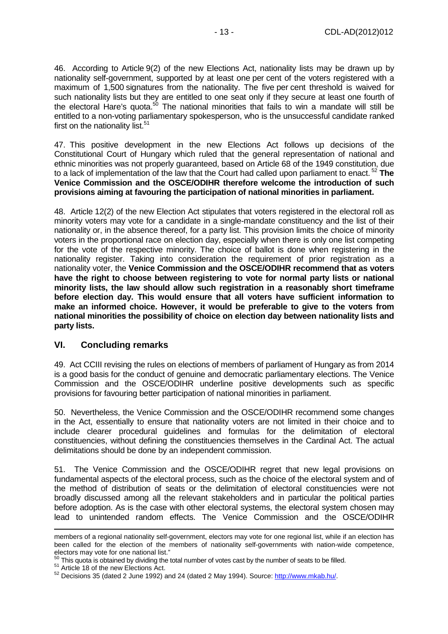46. According to Article 9(2) of the new Elections Act, nationality lists may be drawn up by nationality self-government, supported by at least one per cent of the voters registered with a maximum of 1,500 signatures from the nationality. The five per cent threshold is waived for such nationality lists but they are entitled to one seat only if they secure at least one fourth of the electoral Hare's quota.<sup>50</sup> The national minorities that fails to win a mandate will still be entitled to a non-voting parliamentary spokesperson, who is the unsuccessful candidate ranked first on the nationality list. $51$ 

47. This positive development in the new Elections Act follows up decisions of the Constitutional Court of Hungary which ruled that the general representation of national and ethnic minorities was not properly guaranteed, based on Article 68 of the 1949 constitution, due to a lack of implementation of the law that the Court had called upon parliament to enact.<sup>52</sup> The **Venice Commission and the OSCE/ODIHR therefore welcome the introduction of such provisions aiming at favouring the participation of national minorities in parliament.**

48. Article 12(2) of the new Election Act stipulates that voters registered in the electoral roll as minority voters may vote for a candidate in a single-mandate constituency and the list of their nationality or, in the absence thereof, for a party list. This provision limits the choice of minority voters in the proportional race on election day, especially when there is only one list competing for the vote of the respective minority. The choice of ballot is done when registering in the nationality register. Taking into consideration the requirement of prior registration as a nationality voter, the **Venice Commission and the OSCE/ODIHR recommend that as voters have the right to choose between registering to vote for normal party lists or national minority lists, the law should allow such registration in a reasonably short timeframe before election day. This would ensure that all voters have sufficient information to make an informed choice. However, it would be preferable to give to the voters from national minorities the possibility of choice on election day between nationality lists and party lists.** 

### **VI. Concluding remarks**

49. Act CCIII revising the rules on elections of members of parliament of Hungary as from 2014 is a good basis for the conduct of genuine and democratic parliamentary elections. The Venice Commission and the OSCE/ODIHR underline positive developments such as specific provisions for favouring better participation of national minorities in parliament.

50. Nevertheless, the Venice Commission and the OSCE/ODIHR recommend some changes in the Act, essentially to ensure that nationality voters are not limited in their choice and to include clearer procedural guidelines and formulas for the delimitation of electoral constituencies, without defining the constituencies themselves in the Cardinal Act. The actual delimitations should be done by an independent commission.

51. The Venice Commission and the OSCE/ODIHR regret that new legal provisions on fundamental aspects of the electoral process, such as the choice of the electoral system and of the method of distribution of seats or the delimitation of electoral constituencies were not broadly discussed among all the relevant stakeholders and in particular the political parties before adoption. As is the case with other electoral systems, the electoral system chosen may lead to unintended random effects. The Venice Commission and the OSCE/ODIHR

 $\overline{a}$ 

members of a regional nationality self-government, electors may vote for one regional list, while if an election has been called for the election of the members of nationality self-governments with nation-wide competence, electors may vote for one national list."

 $50$  This quota is obtained by dividing the total number of votes cast by the number of seats to be filled.

<sup>&</sup>lt;sup>51</sup> Article 18 of the new Elections Act.

 $52$  Decisions 35 (dated 2 June 1992) and 24 (dated 2 May 1994). Source: http://www.mkab.hu/.